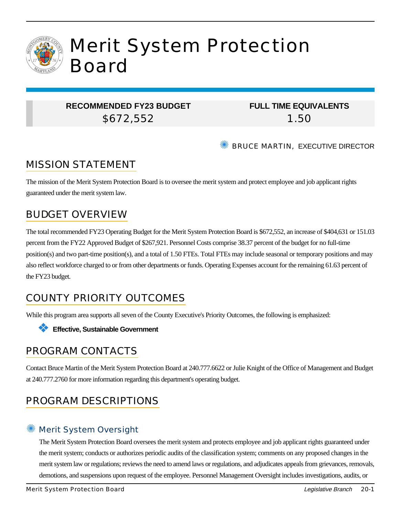

### **RECOMMENDED FY23 BUDGET** \$672,552

## **FULL TIME EQUIVALENTS** 1.50

**SEXT BRUCE MARTIN, EXECUTIVE DIRECTOR** 

# MISSION STATEMENT

The mission of the Merit System Protection Board is to oversee the merit system and protect employee and job applicant rights guaranteed under the merit system law.

# BUDGET OVERVIEW

The total recommended FY23 Operating Budget for the Merit System Protection Board is \$672,552, an increase of \$404,631 or 151.03 percent from the FY22 Approved Budget of \$267,921. Personnel Costs comprise 38.37 percent of the budget for no full-time position(s) and two part-time position(s), and a total of 1.50 FTEs. Total FTEs may include seasonal or temporary positions and may also reflect workforce charged to or from other departments or funds. Operating Expenses account for the remaining 61.63 percent of the FY23 budget.

# COUNTY PRIORITY OUTCOMES

While this program area supports all seven of the County Executive's Priority Outcomes, the following is emphasized:



## PROGRAM CONTACTS

Contact Bruce Martin of the Merit System Protection Board at 240.777.6622 or Julie Knight of the Office of Management and Budget at 240.777.2760 for more information regarding this department's operating budget.

# PROGRAM DESCRIPTIONS

## ✺ Merit System Oversight

The Merit System Protection Board oversees the merit system and protects employee and job applicant rights guaranteed under the merit system; conducts or authorizes periodic audits of the classification system; comments on any proposed changes in the merit system law or regulations; reviews the need to amend laws or regulations, and adjudicates appeals from grievances, removals, demotions, and suspensions upon request of the employee. Personnel Management Oversight includes investigations, audits, or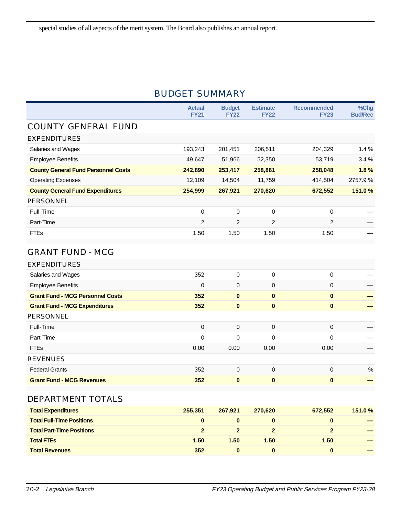### BUDGET SUMMARY

|                                            | <b>Actual</b><br><b>FY21</b> | <b>Budget</b><br><b>FY22</b> | <b>Estimate</b><br><b>FY22</b> | <b>Recommended</b><br><b>FY23</b> | %Chg<br><b>Bud/Rec</b> |
|--------------------------------------------|------------------------------|------------------------------|--------------------------------|-----------------------------------|------------------------|
| <b>COUNTY GENERAL FUND</b>                 |                              |                              |                                |                                   |                        |
| <b>EXPENDITURES</b>                        |                              |                              |                                |                                   |                        |
| Salaries and Wages                         | 193,243                      | 201,451                      | 206,511                        | 204,329                           | 1.4%                   |
| <b>Employee Benefits</b>                   | 49,647                       | 51,966                       | 52,350                         | 53,719                            | 3.4%                   |
| <b>County General Fund Personnel Costs</b> | 242,890                      | 253,417                      | 258,861                        | 258,048                           | 1.8%                   |
| <b>Operating Expenses</b>                  | 12,109                       | 14,504                       | 11,759                         | 414,504                           | 2757.9%                |
| <b>County General Fund Expenditures</b>    | 254,999                      | 267,921                      | 270,620                        | 672,552                           | 151.0%                 |
| <b>PERSONNEL</b>                           |                              |                              |                                |                                   |                        |
| Full-Time                                  | 0                            | 0                            | 0                              | 0                                 |                        |
| Part-Time                                  | 2                            | 2                            | 2                              | 2                                 |                        |
| <b>FTEs</b>                                | 1.50                         | 1.50                         | 1.50                           | 1.50                              |                        |
| <b>GRANT FUND - MCG</b>                    |                              |                              |                                |                                   |                        |
| <b>EXPENDITURES</b>                        |                              |                              |                                |                                   |                        |
| Salaries and Wages                         | 352                          | 0                            | $\mathbf 0$                    | 0                                 |                        |
| <b>Employee Benefits</b>                   | $\Omega$                     | 0                            | $\mathbf 0$                    | $\mathbf 0$                       |                        |
| <b>Grant Fund - MCG Personnel Costs</b>    | 352                          | $\bf{0}$                     | $\mathbf{0}$                   | $\bf{0}$                          |                        |
| <b>Grant Fund - MCG Expenditures</b>       | 352                          | $\bf{0}$                     | $\bf{0}$                       | $\bf{0}$                          |                        |
| <b>PERSONNEL</b>                           |                              |                              |                                |                                   |                        |
| Full-Time                                  | 0                            | 0                            | $\mathbf 0$                    | $\mathbf 0$                       |                        |
| Part-Time                                  | 0                            | 0                            | $\Omega$                       | $\Omega$                          |                        |
| <b>FTEs</b>                                | 0.00                         | 0.00                         | 0.00                           | 0.00                              |                        |
| <b>REVENUES</b>                            |                              |                              |                                |                                   |                        |
| <b>Federal Grants</b>                      | 352                          | 0                            | $\pmb{0}$                      | 0                                 | $\%$                   |
| <b>Grant Fund - MCG Revenues</b>           | 352                          | $\bf{0}$                     | $\pmb{0}$                      | $\pmb{0}$                         |                        |
| DEPARTMENT TOTALS                          |                              |                              |                                |                                   |                        |
| <b>Total Expenditures</b>                  | 255,351                      | 267,921                      | 270,620                        | 672,552                           | 151.0%                 |
| <b>Total Full-Time Positions</b>           | $\mathbf{0}$                 | $\bf{0}$                     | $\bf{0}$                       | $\bf{0}$                          |                        |
| <b>Total Part-Time Positions</b>           | $\overline{2}$               | $\overline{2}$               | $\overline{2}$                 | $\overline{2}$                    |                        |
| <b>Total FTEs</b>                          | 1.50                         | $1.50$                       | 1.50                           | 1.50                              |                        |
| <b>Total Revenues</b>                      | 352                          | $\pmb{0}$                    | $\pmb{0}$                      | $\bf{0}$                          |                        |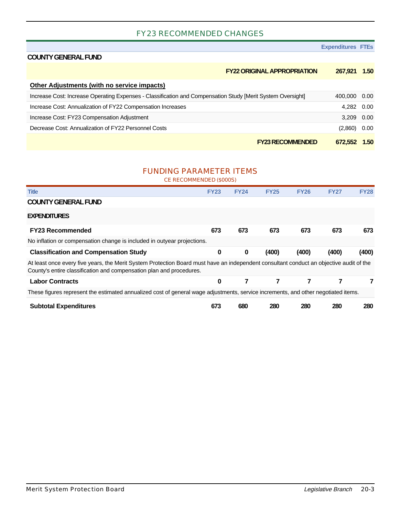#### FY23 RECOMMENDED CHANGES

#### **Expenditure**

#### **COUNTY GENERAL FUND**

| $exp$ enditures $r$ i $rs$ |  |  |
|----------------------------|--|--|
|                            |  |  |

| <b>FY22 ORIGINAL APPROPRIATION</b>                                                                          | 267.921        | 1.50 |
|-------------------------------------------------------------------------------------------------------------|----------------|------|
| Other Adjustments (with no service impacts)                                                                 |                |      |
| Increase Cost: Increase Operating Expenses - Classification and Compensation Study [Merit System Oversight] | 400,000 0.00   |      |
| Increase Cost: Annualization of FY22 Compensation Increases                                                 | 4,282 0.00     |      |
| Increase Cost: FY23 Compensation Adjustment                                                                 | 3.209 0.00     |      |
| Decrease Cost: Annualization of FY22 Personnel Costs                                                        | $(2,860)$ 0.00 |      |
| <b>FY23 RECOMMENDED</b>                                                                                     | 672.552        | 1.50 |

#### FUNDING PARAMETER ITEMS

CE RECOMMENDED (\$000S)

| <b>Title</b>                                                                                                                                                                                                    | <b>FY23</b> | <b>FY24</b> | <b>FY25</b> | <b>FY26</b> | <b>FY27</b> | <b>FY28</b> |
|-----------------------------------------------------------------------------------------------------------------------------------------------------------------------------------------------------------------|-------------|-------------|-------------|-------------|-------------|-------------|
| <b>COUNTY GENERAL FUND</b>                                                                                                                                                                                      |             |             |             |             |             |             |
| <b>EXPENDITURES</b>                                                                                                                                                                                             |             |             |             |             |             |             |
| <b>FY23 Recommended</b>                                                                                                                                                                                         | 673         | 673         | 673         | 673         | 673         | 673         |
| No inflation or compensation change is included in outyear projections.                                                                                                                                         |             |             |             |             |             |             |
| <b>Classification and Compensation Study</b>                                                                                                                                                                    | $\bf{0}$    | $\bf{0}$    | (400)       | (400)       | (400)       | (400)       |
| At least once every five years, the Merit System Protection Board must have an independent consultant conduct an objective audit of the<br>County's entire classification and compensation plan and procedures. |             |             |             |             |             |             |
| <b>Labor Contracts</b>                                                                                                                                                                                          | $\bf{0}$    | 7           | 7           | 7           |             |             |
| These figures represent the estimated annualized cost of general wage adjustments, service increments, and other negotiated items.                                                                              |             |             |             |             |             |             |
| <b>Subtotal Expenditures</b>                                                                                                                                                                                    | 673         | 680         | 280         | 280         | 280         | 280         |